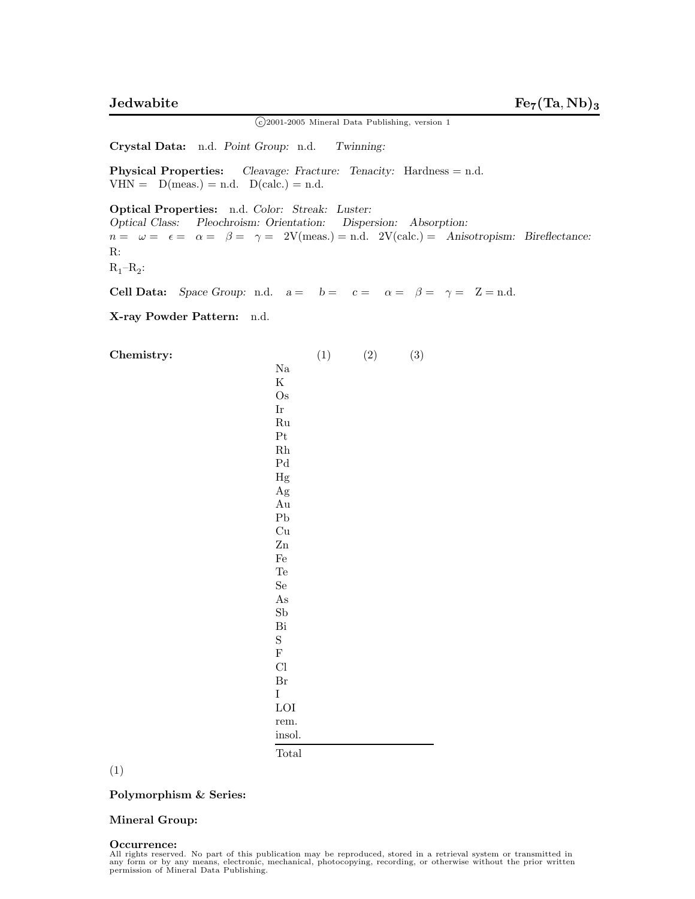<sup>c</sup> 2001-2005 Mineral Data Publishing, version 1

**Crystal Data:** n.d. *Point Group:* n.d. *Twinning:*

**Physical Properties:** *Cleavage: Fracture: Tenacity:* Hardness = n.d.  $VHN = D(meas.) = n.d. D(calc.) = n.d.$ 

**Optical Properties:** n.d. *Color: Streak: Luster: Optical Class: Pleochroism: Orientation: Dispersion: Absorption:*  $n = \omega = \epsilon = \alpha = \beta = \gamma = 2V(meas.) = n.d. 2V(calc.) = Anisotropism: Bireflectance:$ R:  $R_1-R_2$ :

**Cell Data:** *Space Group:* n.d.  $a = b = c = a = \beta = \gamma = \mathbb{Z} = \text{n.d.}$ 

**X-ray Powder Pattern:** n.d.

**Chemistry:** (1) (2) (3) Na K Os Ir Ru Pt Rh Pd Hg Ag Au Pb Cu Zn Fe Te Se As Sb Bi S F Cl Br I LOI rem*.* insol*.* Total

(1)

**Polymorphism & Series:**

## **Mineral Group:**

## **Occurrence:**